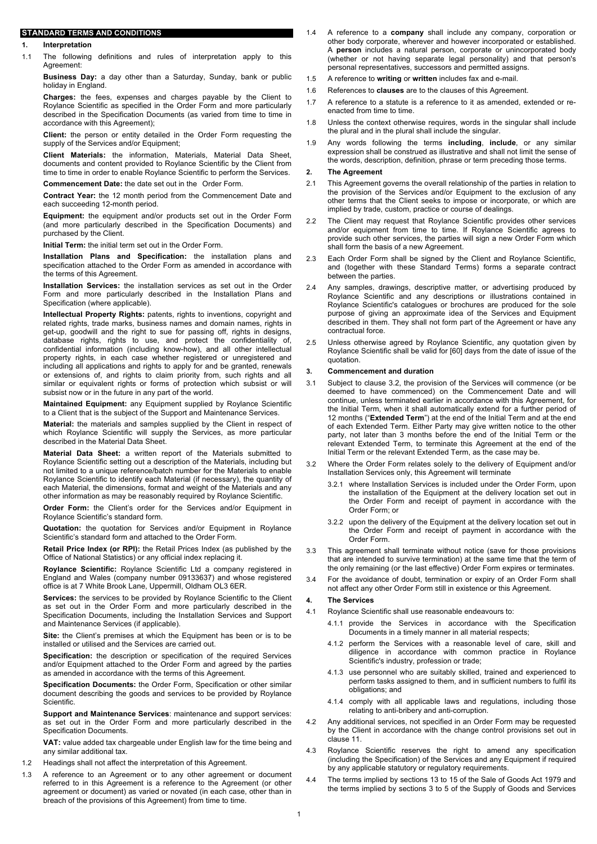## **STANDARD TERMS AND CONDITIONS**

### **1. Interpretation**

1.1 The following definitions and rules of interpretation apply to this Agreement:

**Business Day:** a day other than a Saturday, Sunday, bank or public holiday in England.

**Charges:** the fees, expenses and charges payable by the Client to Roylance Scientific as specified in the Order Form and more particularly described in the Specification Documents (as varied from time to time in accordance with this Agreement);

**Client:** the person or entity detailed in the Order Form requesting the supply of the Services and/or Equipment;

**Client Materials:** the information, Materials, Material Data Sheet, documents and content provided to Roylance Scientific by the Client from time to time in order to enable Roylance Scientific to perform the Services.

**Commencement Date:** the date set out in the Order Form.

**Contract Year:** the 12 month period from the Commencement Date and each succeeding 12-month period.

**Equipment:** the equipment and/or products set out in the Order Form (and more particularly described in the Specification Documents) and purchased by the Client.

**Initial Term:** the initial term set out in the Order Form.

**Installation Plans and Specification:** the installation plans and specification attached to the Order Form as amended in accordance with the terms of this Agreement.

**Installation Services:** the installation services as set out in the Order Form and more particularly described in the Installation Plans and Specification (where applicable).

**Intellectual Property Rights:** patents, rights to inventions, copyright and related rights, trade marks, business names and domain names, rights in get-up, goodwill and the right to sue for passing off, rights in designs, database rights, rights to use, and protect the confidentiality of, confidential information (including know-how), and all other intellectual property rights, in each case whether registered or unregistered and including all applications and rights to apply for and be granted, renewals or extensions of, and rights to claim priority from, such rights and all similar or equivalent rights or forms of protection which subsist or will subsist now or in the future in any part of the world.

**Maintained Equipment:** any Equipment supplied by Roylance Scientific to a Client that is the subject of the Support and Maintenance Services.

**Material:** the materials and samples supplied by the Client in respect of which Roylance Scientific will supply the Services, as more particular described in the Material Data Sheet.

**Material Data Sheet:** a written report of the Materials submitted to Roylance Scientific setting out a description of the Materials, including but not limited to a unique reference/batch number for the Materials to enable Roylance Scientific to identify each Material (if necessary), the quantity of each Material, the dimensions, format and weight of the Materials and any other information as may be reasonably required by Roylance Scientific.

**Order Form:** the Client's order for the Services and/or Equipment in Roylance Scientific's standard form.

**Quotation:** the quotation for Services and/or Equipment in Roylance Scientific's standard form and attached to the Order Form.

**Retail Price Index (or RPI):** the Retail Prices Index (as published by the Office of National Statistics) or any official index replacing it.

**Roylance Scientific:** Roylance Scientific Ltd a company registered in England and Wales (company number 09133637) and whose registered office is at 7 White Brook Lane, Uppermill, Oldham OL3 6ER.

**Services:** the services to be provided by Roylance Scientific to the Client as set out in the Order Form and more particularly described in the Specification Documents, including the Installation Services and Support and Maintenance Services (if applicable).

Site: the Client's premises at which the Equipment has been or is to be installed or utilised and the Services are carried out.

**Specification:** the description or specification of the required Services and/or Equipment attached to the Order Form and agreed by the parties as amended in accordance with the terms of this Agreement.

**Specification Documents:** the Order Form, Specification or other similar document describing the goods and services to be provided by Roylance **Scientific.** 

**Support and Maintenance Services**: maintenance and support services: as set out in the Order Form and more particularly described in the Specification Documents.

**VAT:** value added tax chargeable under English law for the time being and any similar additional tax.

- 1.2 Headings shall not affect the interpretation of this Agreement.
- 1.3 A reference to an Agreement or to any other agreement or document referred to in this Agreement is a reference to the Agreement (or other agreement or document) as varied or novated (in each case, other than in breach of the provisions of this Agreement) from time to time.
- 1.4 A reference to a **company** shall include any company, corporation or other body corporate, wherever and however incorporated or established. A **person** includes a natural person, corporate or unincorporated body (whether or not having separate legal personality) and that person's personal representatives, successors and permitted assigns.
- 1.5 A reference to **writing** or **written** includes fax and e-mail.
- 1.6 References to **clauses** are to the clauses of this Agreement.
- 1.7 A reference to a statute is a reference to it as amended, extended or reenacted from time to time.
- 1.8 Unless the context otherwise requires, words in the singular shall include the plural and in the plural shall include the singular.
- 1.9 Any words following the terms **including**, **include**, or any similar expression shall be construed as illustrative and shall not limit the sense of the words, description, definition, phrase or term preceding those terms.

## **2. The Agreement**

- 2.1 This Agreement governs the overall relationship of the parties in relation to the provision of the Services and/or Equipment to the exclusion of any other terms that the Client seeks to impose or incorporate, or which are implied by trade, custom, practice or course of dealings.
- 2.2 The Client may request that Roylance Scientific provides other services and/or equipment from time to time. If Roylance Scientific agrees to provide such other services, the parties will sign a new Order Form which shall form the basis of a new Agreement.
- 2.3 Each Order Form shall be signed by the Client and Roylance Scientific, and (together with these Standard Terms) forms a separate contract between the parties.
- 2.4 Any samples, drawings, descriptive matter, or advertising produced by Roylance Scientific and any descriptions or illustrations contained in Roylance Scientific's catalogues or brochures are produced for the sole purpose of giving an approximate idea of the Services and Equipment described in them. They shall not form part of the Agreement or have any contractual force.
- 2.5 Unless otherwise agreed by Roylance Scientific, any quotation given by Roylance Scientific shall be valid for [60] days from the date of issue of the quotation.

## **3. Commencement and duration**

- 3.1 Subject to clause 3.2, the provision of the Services will commence (or be deemed to have commenced) on the Commencement Date and will continue, unless terminated earlier in accordance with this Agreement, for the Initial Term, when it shall automatically extend for a further period of 12 months ("**Extended Term**") at the end of the Initial Term and at the end of each Extended Term. Either Party may give written notice to the other party, not later than 3 months before the end of the Initial Term or the relevant Extended Term, to terminate this Agreement at the end of the Initial Term or the relevant Extended Term, as the case may be.
- 3.2 Where the Order Form relates solely to the delivery of Equipment and/or Installation Services only, this Agreement will terminate
	- 3.2.1 where Installation Services is included under the Order Form, upon the installation of the Equipment at the delivery location set out in the Order Form and receipt of payment in accordance with the Order Form; or
	- 3.2.2 upon the delivery of the Equipment at the delivery location set out in the Order Form and receipt of payment in accordance with the Order Form.
- 3.3 This agreement shall terminate without notice (save for those provisions that are intended to survive termination) at the same time that the term of the only remaining (or the last effective) Order Form expires or terminates.
- 3.4 For the avoidance of doubt, termination or expiry of an Order Form shall not affect any other Order Form still in existence or this Agreement.

### **4. The Services**

- 4.1 Roylance Scientific shall use reasonable endeavours to:
	- 4.1.1 provide the Services in accordance with the Specification Documents in a timely manner in all material respects;
	- 4.1.2 perform the Services with a reasonable level of care, skill and diligence in accordance with common practice in Roylance Scientific's industry, profession or trade;
	- 4.1.3 use personnel who are suitably skilled, trained and experienced to perform tasks assigned to them, and in sufficient numbers to fulfil its obligations; and
	- 4.1.4 comply with all applicable laws and regulations, including those relating to anti-bribery and anti-corruption.
- 4.2 Any additional services, not specified in an Order Form may be requested by the Client in accordance with the change control provisions set out in clause 11.
- 4.3 Roylance Scientific reserves the right to amend any specification (including the Specification) of the Services and any Equipment if required by any applicable statutory or regulatory requirements.
- 4.4 The terms implied by sections 13 to 15 of the Sale of Goods Act 1979 and the terms implied by sections 3 to 5 of the Supply of Goods and Services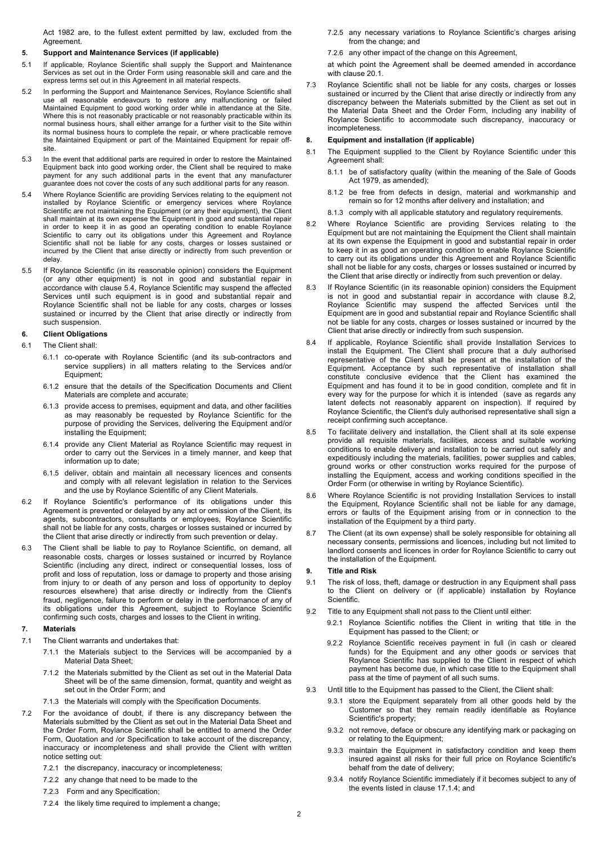Act 1982 are, to the fullest extent permitted by law, excluded from the Agreement.

## **5. Support and Maintenance Services (if applicable)**

- 5.1 If applicable, Roylance Scientific shall supply the Support and Maintenance Services as set out in the Order Form using reasonable skill and care and the express terms set out in this Agreement in all material respects.
- 5.2 In performing the Support and Maintenance Services, Roylance Scientific shall use all reasonable endeavours to restore any malfunctioning or failed Maintained Equipment to good working order while in attendance at the Site. Where this is not reasonably practicable or not reasonably practicable within its normal business hours, shall either arrange for a further visit to the Site within its normal business hours to complete the repair, or where practicable remove the Maintained Equipment or part of the Maintained Equipment for repair offsite.
- 5.3 In the event that additional parts are required in order to restore the Maintained Equipment back into good working order, the Client shall be required to make payment for any such additional parts in the event that any manufacturer guarantee does not cover the costs of any such additional parts for any reason.
- 5.4 Where Roylance Scientific are providing Services relating to the equipment not installed by Roylance Scientific or emergency services where Roylance Scientific are not maintaining the Equipment (or any their equipment), the Client shall maintain at its own expense the Equipment in good and substantial repair in order to keep it in as good an operating condition to enable Roylance Scientific to carry out its obligations under this Agreement and Roylance Scientific shall not be liable for any costs, charges or losses sustained or incurred by the Client that arise directly or indirectly from such prevention or delay.
- 5.5 If Roylance Scientific (in its reasonable opinion) considers the Equipment (or any other equipment) is not in good and substantial repair in accordance with clause 5.4, Roylance Scientific may suspend the affected Services until such equipment is in good and substantial repair and Roylance Scientific shall not be liable for any costs, charges or losses sustained or incurred by the Client that arise directly or indirectly from such suspension.

# **6. Client Obligations**

- 6.1 The Client shall:
	- 6.1.1 co-operate with Roylance Scientific (and its sub-contractors and service suppliers) in all matters relating to the Services and/or Equipment;
	- 6.1.2 ensure that the details of the Specification Documents and Client Materials are complete and accurate;
	- 6.1.3 provide access to premises, equipment and data, and other facilities as may reasonably be requested by Roylance Scientific for the purpose of providing the Services, delivering the Equipment and/or installing the Equipment;
	- 6.1.4 provide any Client Material as Roylance Scientific may request in order to carry out the Services in a timely manner, and keep that information up to date;
	- 6.1.5 deliver, obtain and maintain all necessary licences and consents and comply with all relevant legislation in relation to the Services and the use by Roylance Scientific of any Client Materials.
- 6.2 If Roylance Scientific's performance of its obligations under this Agreement is prevented or delayed by any act or omission of the Client, its agents, subcontractors, consultants or employees, Roylance Scientific shall not be liable for any costs, charges or losses sustained or incurred by the Client that arise directly or indirectly from such prevention or delay.
- 6.3 The Client shall be liable to pay to Roylance Scientific, on demand, all reasonable costs, charges or losses sustained or incurred by Roylance Scientific (including any direct, indirect or consequential losses, loss of profit and loss of reputation, loss or damage to property and those arising from injury to or death of any person and loss of opportunity to deploy resources elsewhere) that arise directly or indirectly from the Client's fraud, negligence, failure to perform or delay in the performance of any of its obligations under this Agreement, subject to Roylance Scientific confirming such costs, charges and losses to the Client in writing.

#### **7. Materials**

- 7.1 The Client warrants and undertakes that:
	- 7.1.1 the Materials subject to the Services will be accompanied by a Material Data Sheet;
	- 7.1.2 the Materials submitted by the Client as set out in the Material Data Sheet will be of the same dimension, format, quantity and weight as set out in the Order Form; and
	- 7.1.3 the Materials will comply with the Specification Documents.
- 7.2 For the avoidance of doubt, if there is any discrepancy between the Materials submitted by the Client as set out in the Material Data Sheet and the Order Form, Roylance Scientific shall be entitled to amend the Order Form, Quotation and /or Specification to take account of the discrepancy, inaccuracy or incompleteness and shall provide the Client with written notice setting out:
	- 7.2.1 the discrepancy, inaccuracy or incompleteness;
	- 7.2.2 any change that need to be made to the
	- 7.2.3 Form and any Specification;
	- 7.2.4 the likely time required to implement a change;

7.2.5 any necessary variations to Roylance Scientific's charges arising from the change; and

7.2.6 any other impact of the change on this Agreement,

at which point the Agreement shall be deemed amended in accordance with clause 20.1.

7.3 Roylance Scientific shall not be liable for any costs, charges or losses sustained or incurred by the Client that arise directly or indirectly from any discrepancy between the Materials submitted by the Client as set out in the Material Data Sheet and the Order Form, including any inability of Roylance Scientific to accommodate such discrepancy, inaccuracy or incompleteness.

## **8. Equipment and installation (if applicable)**

- The Equipment supplied to the Client by Roylance Scientific under this Agreement shall:
	- 8.1.1 be of satisfactory quality (within the meaning of the Sale of Goods Act 1979, as amended);
	- 8.1.2 be free from defects in design, material and workmanship and remain so for 12 months after delivery and installation; and
	- 8.1.3 comply with all applicable statutory and regulatory requirements.
- 8.2 Where Roylance Scientific are providing Services relating to the Equipment but are not maintaining the Equipment the Client shall maintain at its own expense the Equipment in good and substantial repair in order to keep it in as good an operating condition to enable Roylance Scientific to carry out its obligations under this Agreement and Roylance Scientific shall not be liable for any costs, charges or losses sustained or incurred by the Client that arise directly or indirectly from such prevention or delay.
- 8.3 If Roylance Scientific (in its reasonable opinion) considers the Equipment is not in good and substantial repair in accordance with clause 8.2, Roylance Scientific may suspend the affected Services until the Equipment are in good and substantial repair and Roylance Scientific shall not be liable for any costs, charges or losses sustained or incurred by the Client that arise directly or indirectly from such suspension.
- 8.4 If applicable, Roylance Scientific shall provide Installation Services to install the Equipment. The Client shall procure that a duly authorised representative of the Client shall be present at the installation of the Equipment. Acceptance by such representative of installation shall constitute conclusive evidence that the Client has examined the Equipment and has found it to be in good condition, complete and fit in every way for the purpose for which it is intended (save as regards any latent defects not reasonably apparent on inspection). If required by Roylance Scientific, the Client's duly authorised representative shall sign a receipt confirming such acceptance.
- 8.5 To facilitate delivery and installation, the Client shall at its sole expense provide all requisite materials, facilities, access and suitable working conditions to enable delivery and installation to be carried out safely and expeditiously including the materials, facilities, power supplies and cables, ground works or other construction works required for the purpose of installing the Equipment, access and working conditions specified in the Order Form (or otherwise in writing by Roylance Scientific).
- 8.6 Where Roylance Scientific is not providing Installation Services to install the Equipment, Roylance Scientific shall not be liable for any damage, errors or faults of the Equipment arising from or in connection to the installation of the Equipment by a third party.
- 8.7 The Client (at its own expense) shall be solely responsible for obtaining all necessary consents, permissions and licences, including but not limited to landlord consents and licences in order for Roylance Scientific to carry out the installation of the Equipment.

## **9. Title and Risk**

- 9.1 The risk of loss, theft, damage or destruction in any Equipment shall pass to the Client on delivery or (if applicable) installation by Roylance Scientific.
- 9.2 Title to any Equipment shall not pass to the Client until either:
	- 9.2.1 Roylance Scientific notifies the Client in writing that title in the Equipment has passed to the Client; or
	- 9.2.2 Roylance Scientific receives payment in full (in cash or cleared funds) for the Equipment and any other goods or services that Roylance Scientific has supplied to the Client in respect of which payment has become due, in which case title to the Equipment shall pass at the time of payment of all such sums.
- 9.3 Until title to the Equipment has passed to the Client, the Client shall:
	- 9.3.1 store the Equipment separately from all other goods held by the Customer so that they remain readily identifiable as Roylance Scientific's property;
	- 9.3.2 not remove, deface or obscure any identifying mark or packaging on or relating to the Equipment;
	- 9.3.3 maintain the Equipment in satisfactory condition and keep them insured against all risks for their full price on Roylance Scientific's behalf from the date of delivery;
	- 9.3.4 notify Roylance Scientific immediately if it becomes subject to any of the events listed in clause 17.1.4; and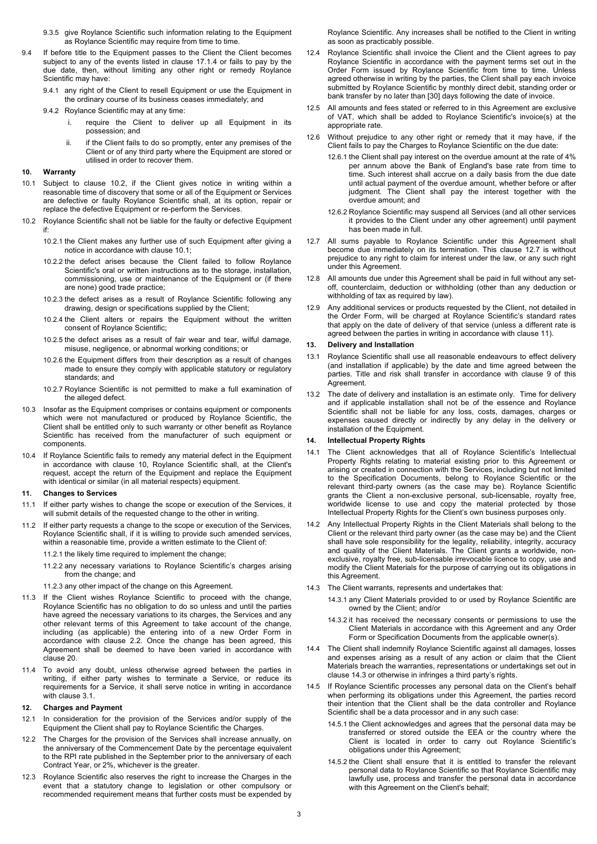- 9.3.5 give Roylance Scientific such information relating to the Equipment as Roylance Scientific may require from time to time.
- 9.4 If before title to the Equipment passes to the Client the Client becomes subject to any of the events listed in clause 17.1.4 or fails to pay by the due date, then, without limiting any other right or remedy Roylance Scientific may have:
	- 9.4.1 any right of the Client to resell Equipment or use the Equipment in the ordinary course of its business ceases immediately; and
	- 9.4.2 Roylance Scientific may at any time:
		- i. require the Client to deliver up all Equipment in its possession; and
		- ii. if the Client fails to do so promptly, enter any premises of the Client or of any third party where the Equipment are stored or utilised in order to recover them.

## **10. Warranty**

- 10.1 Subject to clause 10.2, if the Client gives notice in writing within a reasonable time of discovery that some or all of the Equipment or Services are defective or faulty Roylance Scientific shall, at its option, repair or replace the defective Equipment or re-perform the Services.
- 10.2 Roylance Scientific shall not be liable for the faulty or defective Equipment if:
	- 10.2.1 the Client makes any further use of such Equipment after giving a notice in accordance with clause 10.1;
	- 10.2.2 the defect arises because the Client failed to follow Roylance Scientific's oral or written instructions as to the storage, installation, commissioning, use or maintenance of the Equipment or (if there are none) good trade practice;
	- 10.2.3 the defect arises as a result of Roylance Scientific following any drawing, design or specifications supplied by the Client;
	- 10.2.4 the Client alters or repairs the Equipment without the written consent of Roylance Scientific;
	- 10.2.5 the defect arises as a result of fair wear and tear, wilful damage, misuse, negligence, or abnormal working conditions; or
	- 10.2.6 the Equipment differs from their description as a result of changes made to ensure they comply with applicable statutory or regulatory standards; and
	- 10.2.7 Roylance Scientific is not permitted to make a full examination of the alleged defect.
- 10.3 Insofar as the Equipment comprises or contains equipment or components which were not manufactured or produced by Roylance Scientific, the Client shall be entitled only to such warranty or other benefit as Roylance Scientific has received from the manufacturer of such equipment or components.
- 10.4 If Roylance Scientific fails to remedy any material defect in the Equipment in accordance with clause 10, Roylance Scientific shall, at the Client's request, accept the return of the Equipment and replace the Equipment with identical or similar (in all material respects) equipment.

#### **11. Changes to Services**

- 11.1 If either party wishes to change the scope or execution of the Services, it will submit details of the requested change to the other in writing.
- 11.2 If either party requests a change to the scope or execution of the Services, Roylance Scientific shall, if it is willing to provide such amended services, within a reasonable time, provide a written estimate to the Client of:

11.2.1 the likely time required to implement the change;

- 11.2.2 any necessary variations to Roylance Scientific's charges arising from the change; and
- 11.2.3 any other impact of the change on this Agreement.
- 11.3 If the Client wishes Roylance Scientific to proceed with the change, Roylance Scientific has no obligation to do so unless and until the parties have agreed the necessary variations to its charges, the Services and any other relevant terms of this Agreement to take account of the change, including (as applicable) the entering into of a new Order Form in accordance with clause 2.2. Once the change has been agreed, this Agreement shall be deemed to have been varied in accordance with clause 20.
- 11.4 To avoid any doubt, unless otherwise agreed between the parties in writing, if either party wishes to terminate a Service, or reduce its requirements for a Service, it shall serve notice in writing in accordance with clause 3.1

## **12. Charges and Payment**

- 12.1 In consideration for the provision of the Services and/or supply of the Equipment the Client shall pay to Roylance Scientific the Charges.
- 12.2 The Charges for the provision of the Services shall increase annually, on the anniversary of the Commencement Date by the percentage equivalent to the RPI rate published in the September prior to the anniversary of each Contract Year, or 2%, whichever is the greater.
- 12.3 Roylance Scientific also reserves the right to increase the Charges in the event that a statutory change to legislation or other compulsory or recommended requirement means that further costs must be expended by

Roylance Scientific. Any increases shall be notified to the Client in writing as soon as practicably possible.

- 12.4 Roylance Scientific shall invoice the Client and the Client agrees to pay Roylance Scientific in accordance with the payment terms set out in the Order Form issued by Roylance Scientific from time to time. Unless agreed otherwise in writing by the parties, the Client shall pay each invoice submitted by Roylance Scientific by monthly direct debit, standing order or bank transfer by no later than [30] days following the date of invoice.
- 12.5 All amounts and fees stated or referred to in this Agreement are exclusive of VAT, which shall be added to Roylance Scientific's invoice(s) at the appropriate rate.
- 12.6 Without prejudice to any other right or remedy that it may have, if the Client fails to pay the Charges to Roylance Scientific on the due date:
	- 12.6.1 the Client shall pay interest on the overdue amount at the rate of 4% per annum above the Bank of England's base rate from time to time. Such interest shall accrue on a daily basis from the due date until actual payment of the overdue amount, whether before or after judgment. The Client shall pay the interest together with the overdue amount; and
	- 12.6.2 Roylance Scientific may suspend all Services (and all other services it provides to the Client under any other agreement) until payment has been made in full.
- 12.7 All sums payable to Roylance Scientific under this Agreement shall become due immediately on its termination. This clause 12.7 is without prejudice to any right to claim for interest under the law, or any such right under this Agreement.
- 12.8 All amounts due under this Agreement shall be paid in full without any setoff, counterclaim, deduction or withholding (other than any deduction or withholding of tax as required by law).
- 12.9 Any additional services or products requested by the Client, not detailed in the Order Form, will be charged at Roylance Scientific's standard rates that apply on the date of delivery of that service (unless a different rate is agreed between the parties in writing in accordance with clause 11).

# **13. Delivery and Installation**

- 13.1 Roylance Scientific shall use all reasonable endeavours to effect delivery (and installation if applicable) by the date and time agreed between the parties. Title and risk shall transfer in accordance with clause 9 of this Agreement.
- 13.2 The date of delivery and installation is an estimate only. Time for delivery and if applicable installation shall not be of the essence and Roylance Scientific shall not be liable for any loss, costs, damages, charges or expenses caused directly or indirectly by any delay in the delivery or installation of the Equipment.

# **14. Intellectual Property Rights**

- 14.1 The Client acknowledges that all of Roylance Scientific's Intellectual Property Rights relating to material existing prior to this Agreement or arising or created in connection with the Services, including but not limited to the Specification Documents, belong to Roylance Scientific or the relevant third-party owners (as the case may be). Roylance Scientific grants the Client a non-exclusive personal, sub-licensable, royalty free, worldwide license to use and copy the material protected by those Intellectual Property Rights for the Client's own business purposes only.
- 14.2 Any Intellectual Property Rights in the Client Materials shall belong to the Client or the relevant third party owner (as the case may be) and the Client shall have sole responsibility for the legality, reliability, integrity, accuracy and quality of the Client Materials. The Client grants a worldwide, nonexclusive, royalty free, sub-licensable irrevocable licence to copy, use and modify the Client Materials for the purpose of carrying out its obligations in this Agreement.
- 14.3 The Client warrants, represents and undertakes that:
	- 14.3.1 any Client Materials provided to or used by Roylance Scientific are owned by the Client; and/or
	- 14.3.2 it has received the necessary consents or permissions to use the Client Materials in accordance with this Agreement and any Order Form or Specification Documents from the applicable owner(s).
- 14.4 The Client shall indemnify Roylance Scientific against all damages, losses and expenses arising as a result of any action or claim that the Client Materials breach the warranties, representations or undertakings set out in clause 14.3 or otherwise in infringes a third party's rights.
- 14.5 If Roylance Scientific processes any personal data on the Client's behalf when performing its obligations under this Agreement, the parties record their intention that the Client shall be the data controller and Roylance Scientific shall be a data processor and in any such case:
	- 14.5.1 the Client acknowledges and agrees that the personal data may be transferred or stored outside the EEA or the country where the Client is located in order to carry out Roylance Scientific's obligations under this Agreement;
	- 14.5.2 the Client shall ensure that it is entitled to transfer the relevant personal data to Roylance Scientific so that Roylance Scientific may lawfully use, process and transfer the personal data in accordance with this Agreement on the Client's behalf;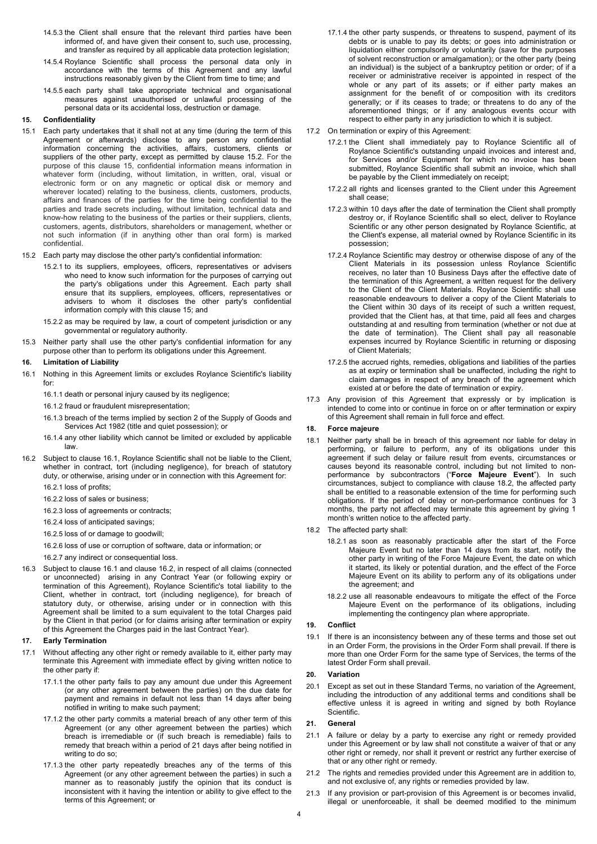- 14.5.3 the Client shall ensure that the relevant third parties have been informed of, and have given their consent to, such use, processing, and transfer as required by all applicable data protection legislation;
- 14.5.4 Roylance Scientific shall process the personal data only in accordance with the terms of this Agreement and any lawful instructions reasonably given by the Client from time to time; and
- 14.5.5 each party shall take appropriate technical and organisational measures against unauthorised or unlawful processing of the personal data or its accidental loss, destruction or damage.

### **15. Confidentiality**

- 15.1 Each party undertakes that it shall not at any time (during the term of this Agreement or afterwards) disclose to any person any confidential information concerning the activities, affairs, customers, clients or suppliers of the other party, except as permitted by clause 15.2. For the purpose of this clause 15, confidential information means information in whatever form (including, without limitation, in written, oral, visual or electronic form or on any magnetic or optical disk or memory and wherever located) relating to the business, clients, customers, products, affairs and finances of the parties for the time being confidential to the parties and trade secrets including, without limitation, technical data and know-how relating to the business of the parties or their suppliers, clients, customers, agents, distributors, shareholders or management, whether or not such information (if in anything other than oral form) is marked confidential.
- 15.2 Each party may disclose the other party's confidential information:
	- 15.2.1 to its suppliers, employees, officers, representatives or advisers who need to know such information for the purposes of carrying out the party's obligations under this Agreement. Each party shall ensure that its suppliers, employees, officers, representatives or advisers to whom it discloses the other party's confidential information comply with this clause 15; and
	- 15.2.2 as may be required by law, a court of competent jurisdiction or any governmental or regulatory authority.
- 15.3 Neither party shall use the other party's confidential information for any purpose other than to perform its obligations under this Agreement.

### **16. Limitation of Liability**

- 16.1 Nothing in this Agreement limits or excludes Roylance Scientific's liability for:
	- 16.1.1 death or personal injury caused by its negligence;
	- 16.1.2 fraud or fraudulent misrepresentation;
	- 16.1.3 breach of the terms implied by section 2 of the Supply of Goods and Services Act 1982 (title and quiet possession); or
	- 16.1.4 any other liability which cannot be limited or excluded by applicable law.
- 16.2 Subject to clause 16.1, Roylance Scientific shall not be liable to the Client, whether in contract, tort (including negligence), for breach of statutory duty, or otherwise, arising under or in connection with this Agreement for:
	- 16.2.1 loss of profits;
	- 16.2.2 loss of sales or business;
	- 16.2.3 loss of agreements or contracts;
	- 16.2.4 loss of anticipated savings;
	- 16.2.5 loss of or damage to goodwill;
	- 16.2.6 loss of use or corruption of software, data or information; or

16.2.7 any indirect or consequential loss.

16.3 Subject to clause 16.1 and clause 16.2, in respect of all claims (connected or unconnected) arising in any Contract Year (or following expiry or termination of this Agreement), Roylance Scientific's total liability to the Client, whether in contract, tort (including negligence), for breach of statutory duty, or otherwise, arising under or in connection with this Agreement shall be limited to a sum equivalent to the total Charges paid by the Client in that period (or for claims arising after termination or expiry of this Agreement the Charges paid in the last Contract Year).

## **17. Early Termination**

- 17.1 Without affecting any other right or remedy available to it, either party may terminate this Agreement with immediate effect by giving written notice to the other party if:
	- 17.1.1 the other party fails to pay any amount due under this Agreement (or any other agreement between the parties) on the due date for payment and remains in default not less than 14 days after being notified in writing to make such payment;
	- 17.1.2 the other party commits a material breach of any other term of this Agreement (or any other agreement between the parties) which breach is irremediable or (if such breach is remediable) fails to remedy that breach within a period of 21 days after being notified in writing to do so;
	- 17.1.3 the other party repeatedly breaches any of the terms of this Agreement (or any other agreement between the parties) in such a manner as to reasonably justify the opinion that its conduct is inconsistent with it having the intention or ability to give effect to the terms of this Agreement; or
- 17.1.4 the other party suspends, or threatens to suspend, payment of its debts or is unable to pay its debts; or goes into administration or liquidation either compulsorily or voluntarily (save for the purposes of solvent reconstruction or amalgamation); or the other party (being an individual) is the subject of a bankruptcy petition or order; of if a receiver or administrative receiver is appointed in respect of the whole or any part of its assets; or if either party makes an assignment for the benefit of or composition with its creditors generally; or if its ceases to trade; or threatens to do any of the aforementioned things; or if any analogous events occur with respect to either party in any jurisdiction to which it is subject.
- 17.2 On termination or expiry of this Agreement:
	- 17.2.1 the Client shall immediately pay to Roylance Scientific all of Roylance Scientific's outstanding unpaid invoices and interest and, for Services and/or Equipment for which no invoice has been submitted, Roylance Scientific shall submit an invoice, which shall be payable by the Client immediately on receipt;
	- 17.2.2 all rights and licenses granted to the Client under this Agreement shall cease;
	- 17.2.3 within 10 days after the date of termination the Client shall promptly destroy or, if Roylance Scientific shall so elect, deliver to Roylance Scientific or any other person designated by Roylance Scientific, at the Client's expense, all material owned by Roylance Scientific in its possession;
	- 17.2.4 Roylance Scientific may destroy or otherwise dispose of any of the Client Materials in its possession unless Roylance Scientific receives, no later than 10 Business Days after the effective date of the termination of this Agreement, a written request for the delivery to the Client of the Client Materials. Roylance Scientific shall use reasonable endeavours to deliver a copy of the Client Materials to the Client within 30 days of its receipt of such a written request, provided that the Client has, at that time, paid all fees and charges outstanding at and resulting from termination (whether or not due at the date of termination). The Client shall pay all reasonable expenses incurred by Roylance Scientific in returning or disposing of Client Materials;
	- 17.2.5 the accrued rights, remedies, obligations and liabilities of the parties as at expiry or termination shall be unaffected, including the right to claim damages in respect of any breach of the agreement which existed at or before the date of termination or expiry.
- 17.3 Any provision of this Agreement that expressly or by implication is intended to come into or continue in force on or after termination or expiry of this Agreement shall remain in full force and effect.

#### **18. Force majeure**

- 18.1 Neither party shall be in breach of this agreement nor liable for delay in performing, or failure to perform, any of its obligations under this agreement if such delay or failure result from events, circumstances or causes beyond its reasonable control, including but not limited to nonperformance by subcontractors ("**Force Majeure Event**"). In such circumstances, subject to compliance with clause 18.2, the affected party shall be entitled to a reasonable extension of the time for performing such obligations. If the period of delay or non-performance continues for 3 months, the party not affected may terminate this agreement by giving 1 month's written notice to the affected party.
- 18.2 The affected party shall:
	- 18.2.1 as soon as reasonably practicable after the start of the Force Majeure Event but no later than 14 days from its start, notify the other party in writing of the Force Majeure Event, the date on which it started, its likely or potential duration, and the effect of the Force Majeure Event on its ability to perform any of its obligations under the agreement; and
	- 18.2.2 use all reasonable endeavours to mitigate the effect of the Force Majeure Event on the performance of its obligations, including implementing the contingency plan where appropriate.

### **19. Conflict**

19.1 If there is an inconsistency between any of these terms and those set out in an Order Form, the provisions in the Order Form shall prevail. If there is more than one Order Form for the same type of Services, the terms of the latest Order Form shall prevail.

## **20. Variation**

20.1 Except as set out in these Standard Terms, no variation of the Agreement, including the introduction of any additional terms and conditions shall be effective unless it is agreed in writing and signed by both Roylance Scientific.

#### **21. General**

- 21.1 A failure or delay by a party to exercise any right or remedy provided under this Agreement or by law shall not constitute a waiver of that or any other right or remedy, nor shall it prevent or restrict any further exercise of that or any other right or remedy.
- 21.2 The rights and remedies provided under this Agreement are in addition to, and not exclusive of, any rights or remedies provided by law.
- 21.3 If any provision or part-provision of this Agreement is or becomes invalid, illegal or unenforceable, it shall be deemed modified to the minimum